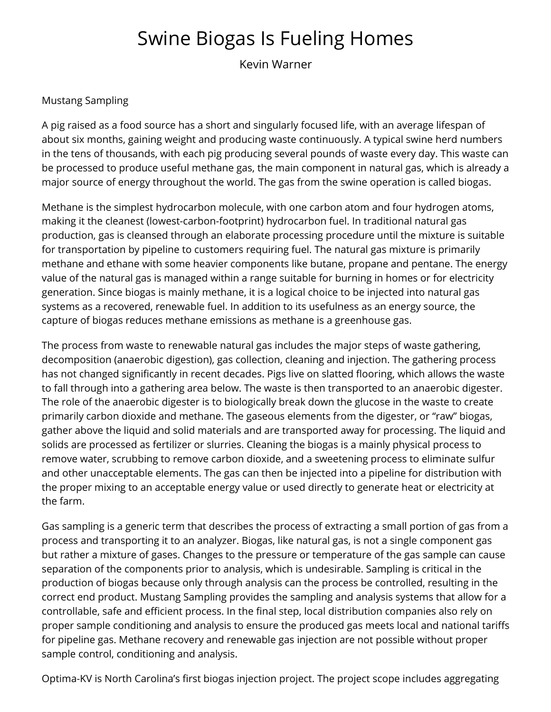## Swine Biogas Is Fueling Homes

Kevin Warner

## Mustang Sampling

A pig raised as a food source has a short and singularly focused life, with an average lifespan of about six months, gaining weight and producing waste continuously. A typical swine herd numbers in the tens of thousands, with each pig producing several pounds of waste every day. This waste can be processed to produce useful methane gas, the main component in natural gas, which is already a major source of energy throughout the world. The gas from the swine operation is called biogas.

Methane is the simplest hydrocarbon molecule, with one carbon atom and four hydrogen atoms, making it the cleanest (lowest-carbon-footprint) hydrocarbon fuel. In traditional natural gas production, gas is cleansed through an elaborate processing procedure until the mixture is suitable for transportation by pipeline to customers requiring fuel. The natural gas mixture is primarily methane and ethane with some heavier components like butane, propane and pentane. The energy value of the natural gas is managed within a range suitable for burning in homes or for electricity generation. Since biogas is mainly methane, it is a logical choice to be injected into natural gas systems as a recovered, renewable fuel. In addition to its usefulness as an energy source, the capture of biogas reduces methane emissions as methane is a greenhouse gas.

The process from waste to renewable natural gas includes the major steps of waste gathering, decomposition (anaerobic digestion), gas collection, cleaning and injection. The gathering process has not changed significantly in recent decades. Pigs live on slatted flooring, which allows the waste to fall through into a gathering area below. The waste is then transported to an anaerobic digester. The role of the anaerobic digester is to biologically break down the glucose in the waste to create primarily carbon dioxide and methane. The gaseous elements from the digester, or "raw" biogas, gather above the liquid and solid materials and are transported away for processing. The liquid and solids are processed as fertilizer or slurries. Cleaning the biogas is a mainly physical process to remove water, scrubbing to remove carbon dioxide, and a sweetening process to eliminate sulfur and other unacceptable elements. The gas can then be injected into a pipeline for distribution with the proper mixing to an acceptable energy value or used directly to generate heat or electricity at the farm.

Gas sampling is a generic term that describes the process of extracting a small portion of gas from a process and transporting it to an analyzer. Biogas, like natural gas, is not a single component gas but rather a mixture of gases. Changes to the pressure or temperature of the gas sample can cause separation of the components prior to analysis, which is undesirable. Sampling is critical in the production of biogas because only through analysis can the process be controlled, resulting in the correct end product. Mustang Sampling provides the sampling and analysis systems that allow for a controllable, safe and efficient process. In the final step, local distribution companies also rely on proper sample conditioning and analysis to ensure the produced gas meets local and national tariffs for pipeline gas. Methane recovery and renewable gas injection are not possible without proper sample control, conditioning and analysis.

Optima-KV is North Carolina's first biogas injection project. The project scope includes aggregating